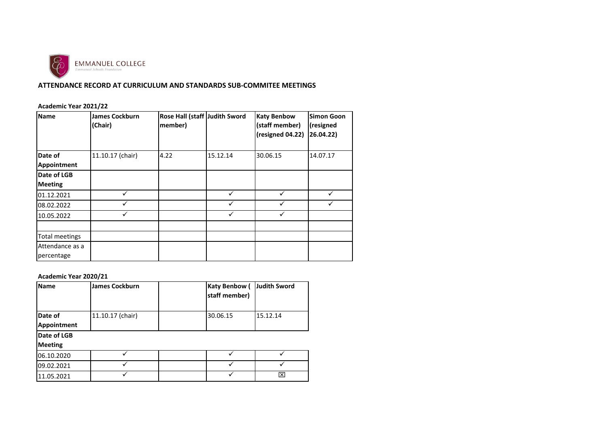

## **ATTENDANCE RECORD AT CURRICULUM AND STANDARDS SUB-COMMITEE MEETINGS**

### **Academic Year 2021/22**

| <b>Name</b>           | <b>James Cockburn</b><br>(Chair) | Rose Hall (staff Judith Sword<br>member) |          | <b>Katy Benbow</b><br>(staff member) | <b>Simon Goon</b><br>(resigned |
|-----------------------|----------------------------------|------------------------------------------|----------|--------------------------------------|--------------------------------|
|                       |                                  |                                          |          | (resigned 04.22)                     | 26.04.22)                      |
| Date of               | 11.10.17 (chair)                 | 4.22                                     | 15.12.14 | 30.06.15                             | 14.07.17                       |
| Appointment           |                                  |                                          |          |                                      |                                |
| Date of LGB           |                                  |                                          |          |                                      |                                |
| <b>Meeting</b>        |                                  |                                          |          |                                      |                                |
| 01.12.2021            |                                  |                                          |          |                                      |                                |
| 08.02.2022            |                                  |                                          | ✓        | ✓                                    |                                |
| 10.05.2022            |                                  |                                          |          |                                      |                                |
| <b>Total meetings</b> |                                  |                                          |          |                                      |                                |
| Attendance as a       |                                  |                                          |          |                                      |                                |
| percentage            |                                  |                                          |          |                                      |                                |

#### **Academic Year 2020/21**

| <b>Name</b>    | <b>James Cockburn</b> |          | <b>Katy Benbow (</b><br>staff member) | <b>Judith Sword</b> |
|----------------|-----------------------|----------|---------------------------------------|---------------------|
| Date of        | 11.10.17 (chair)      | 30.06.15 |                                       | 15.12.14            |
| Appointment    |                       |          |                                       |                     |
| Date of LGB    |                       |          |                                       |                     |
| <b>Meeting</b> |                       |          |                                       |                     |
| 06.10.2020     |                       |          |                                       |                     |
| 09.02.2021     |                       |          |                                       |                     |
| 11.05.2021     |                       |          |                                       | ⊠                   |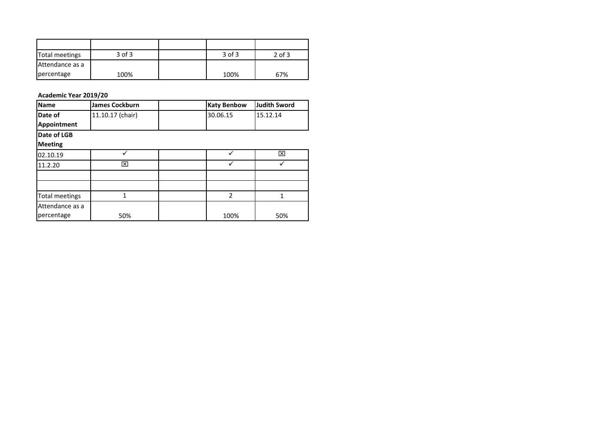| Total meetings  | $3$ of $3$ | $3$ of $3$ | $2$ of $3$ |
|-----------------|------------|------------|------------|
| Attendance as a |            |            |            |
| percentage      | 100%       | 100%       | 67%        |

### **Academic Year 2019/20**

| <b>Name</b>     | <b>James Cockburn</b> | <b>Katy Benbow</b> | <b>Judith Sword</b> |
|-----------------|-----------------------|--------------------|---------------------|
| Date of         | 11.10.17 (chair)      | 30.06.15           | 15.12.14            |
| Appointment     |                       |                    |                     |
| Date of LGB     |                       |                    |                     |
| <b>Meeting</b>  |                       |                    |                     |
| 02.10.19        |                       |                    | ⊠                   |
| 11.2.20         | ⊠                     |                    |                     |
|                 |                       |                    |                     |
|                 |                       |                    |                     |
| Total meetings  | 1                     | $\overline{2}$     |                     |
| Attendance as a |                       |                    |                     |
| percentage      | 50%                   | 100%               | 50%                 |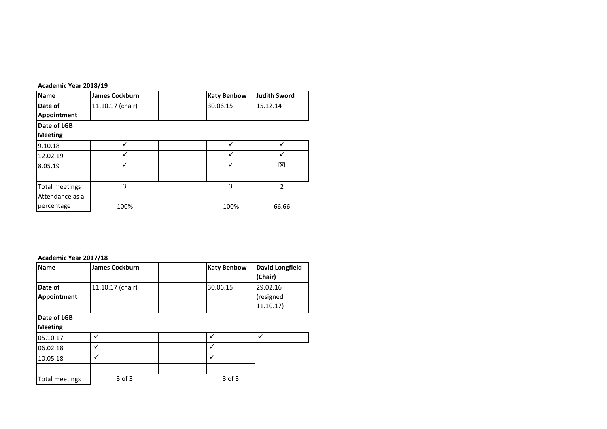| Academic Year 2018/19 |                       |                    |                     |
|-----------------------|-----------------------|--------------------|---------------------|
| <b>Name</b>           | <b>James Cockburn</b> | <b>Katy Benbow</b> | <b>Judith Sword</b> |
| Date of               | 11.10.17 (chair)      | 30.06.15           | 15.12.14            |
| Appointment           |                       |                    |                     |
| Date of LGB           |                       |                    |                     |
| <b>Meeting</b>        |                       |                    |                     |
| 9.10.18               | ✓                     |                    |                     |
| 12.02.19              | ✓                     |                    |                     |
| 8.05.19               | ✓                     |                    | ⊠                   |
|                       |                       |                    |                     |
| <b>Total meetings</b> | 3                     | 3                  | 2                   |
| Attendance as a       |                       |                    |                     |
| percentage            | 100%                  | 100%               | 66.66               |

#### **Academic Year 2017/18**

| <b>Name</b>                   | <b>James Cockburn</b> | <b>Katy Benbow</b> | <b>David Longfield</b><br>(Chair) |
|-------------------------------|-----------------------|--------------------|-----------------------------------|
| Date of                       | 11.10.17 (chair)      | 30.06.15           | 29.02.16                          |
| Appointment                   |                       |                    | (resigned                         |
|                               |                       |                    | 11.10.17                          |
| Date of LGB<br><b>Meeting</b> |                       |                    |                                   |
| 05.10.17                      | ✓                     |                    |                                   |
| 06.02.18                      | ✓                     | ✓                  |                                   |
| 10.05.18                      | ✓                     | ✓                  |                                   |
| <b>Total meetings</b>         | $3$ of $3$            | $3$ of $3$         |                                   |